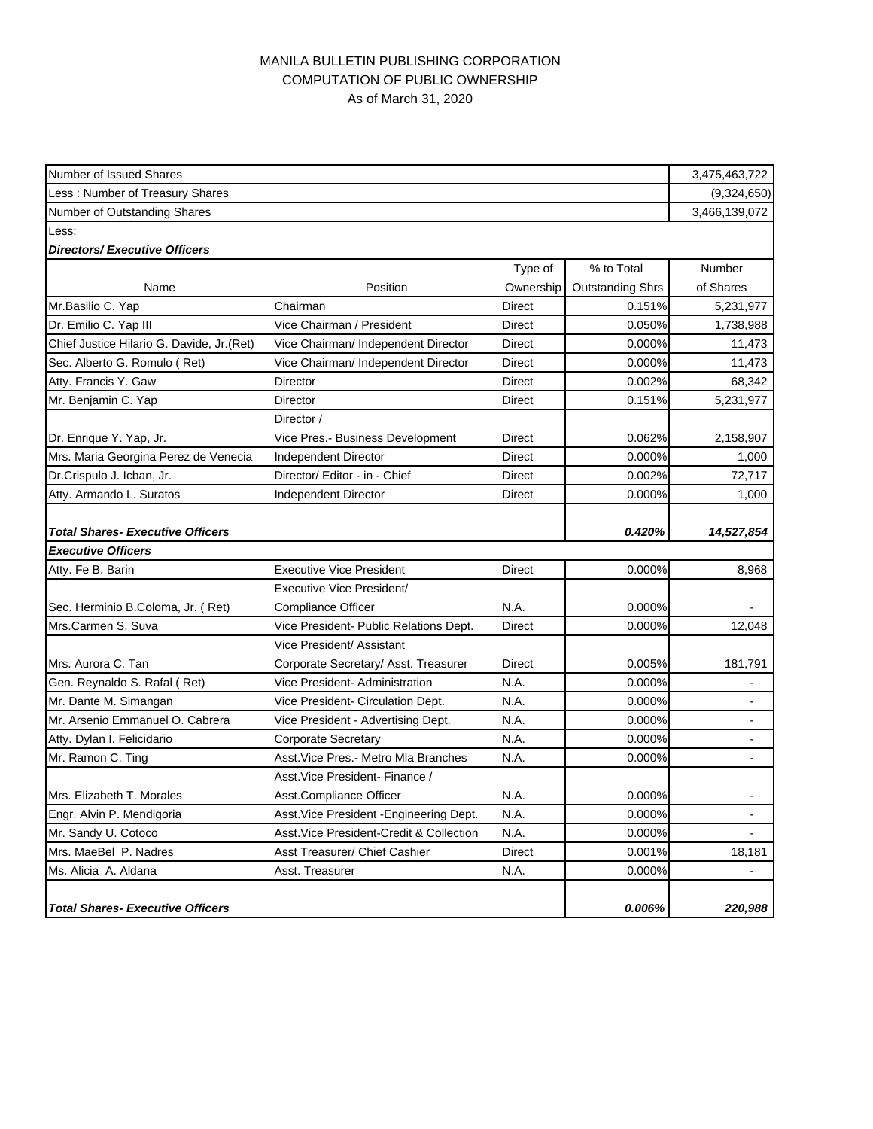## MANILA BULLETIN PUBLISHING CORPORATION COMPUTATION OF PUBLIC OWNERSHIP As of March 31, 2020

| Number of Issued Shares                    |                                          |               | 3,475,463,722           |                |
|--------------------------------------------|------------------------------------------|---------------|-------------------------|----------------|
| Less: Number of Treasury Shares            |                                          |               |                         | (9,324,650)    |
| Number of Outstanding Shares               |                                          |               |                         |                |
| Less:                                      |                                          |               |                         |                |
| <b>Directors/Executive Officers</b>        |                                          |               |                         |                |
|                                            |                                          | Type of       | % to Total              | <b>Number</b>  |
| Name                                       | Position                                 | Ownership     | <b>Outstanding Shrs</b> | of Shares      |
| Mr.Basilio C. Yap                          | Chairman                                 | <b>Direct</b> | 0.151%                  | 5,231,977      |
| Dr. Emilio C. Yap III                      | Vice Chairman / President                | Direct        | 0.050%                  | 1,738,988      |
| Chief Justice Hilario G. Davide, Jr. (Ret) | Vice Chairman/ Independent Director      | Direct        | 0.000%                  | 11,473         |
| Sec. Alberto G. Romulo (Ret)               | Vice Chairman/ Independent Director      | Direct        | 0.000%                  | 11,473         |
| Atty. Francis Y. Gaw                       | Director                                 | Direct        | 0.002%                  | 68,342         |
| Mr. Benjamin C. Yap                        | Director                                 | Direct        | 0.151%                  | 5,231,977      |
|                                            | Director /                               |               |                         |                |
| Dr. Enrique Y. Yap, Jr.                    | Vice Pres.- Business Development         | Direct        | 0.062%                  | 2,158,907      |
| Mrs. Maria Georgina Perez de Venecia       | Independent Director                     | Direct        | 0.000%                  | 1,000          |
| Dr.Crispulo J. Icban, Jr.                  | Director/ Editor - in - Chief            | Direct        | 0.002%                  | 72,717         |
| Atty. Armando L. Suratos                   | Independent Director                     | Direct        | 0.000%                  | 1,000          |
|                                            |                                          |               |                         |                |
| <b>Total Shares- Executive Officers</b>    |                                          |               | 0.420%                  | 14,527,854     |
| <b>Executive Officers</b>                  |                                          |               |                         |                |
| Atty. Fe B. Barin                          | <b>Executive Vice President</b>          | Direct        | 0.000%                  | 8,968          |
|                                            | Executive Vice President/                |               |                         |                |
| Sec. Herminio B.Coloma, Jr. (Ret)          | <b>Compliance Officer</b>                | N.A.          | 0.000%                  |                |
| Mrs.Carmen S. Suva                         | Vice President- Public Relations Dept.   | Direct        | 0.000%                  | 12,048         |
|                                            | Vice President/ Assistant                |               |                         |                |
| Mrs. Aurora C. Tan                         | Corporate Secretary/ Asst. Treasurer     | Direct        | 0.005%                  | 181,791        |
| Gen. Reynaldo S. Rafal (Ret)               | Vice President- Administration           | N.A.          | 0.000%                  |                |
| Mr. Dante M. Simangan                      | Vice President- Circulation Dept.        | N.A.          | 0.000%                  |                |
| Mr. Arsenio Emmanuel O. Cabrera            | Vice President - Advertising Dept.       | N.A.          | 0.000%                  | $\blacksquare$ |
| Atty. Dylan I. Felicidario                 | Corporate Secretary                      | N.A.          | 0.000%                  |                |
| Mr. Ramon C. Ting                          | Asst. Vice Pres. - Metro Mla Branches    | N.A.          | 0.000%                  | $\blacksquare$ |
|                                            | Asst. Vice President- Finance /          |               |                         |                |
| Mrs. Elizabeth T. Morales                  | Asst.Compliance Officer                  | N.A.          | 0.000%                  |                |
| Engr. Alvin P. Mendigoria                  | Asst. Vice President - Engineering Dept. | N.A.          | 0.000%                  | $\blacksquare$ |
| Mr. Sandy U. Cotoco                        | Asst. Vice President-Credit & Collection | N.A.          | 0.000%                  |                |
| Mrs. MaeBel P. Nadres                      | Asst Treasurer/ Chief Cashier            | Direct        | 0.001%                  | 18,181         |
| Ms. Alicia A. Aldana                       | Asst. Treasurer                          | N.A.          | 0.000%                  |                |
|                                            |                                          |               |                         |                |
| <b>Total Shares- Executive Officers</b>    |                                          |               | 0.006%                  | 220,988        |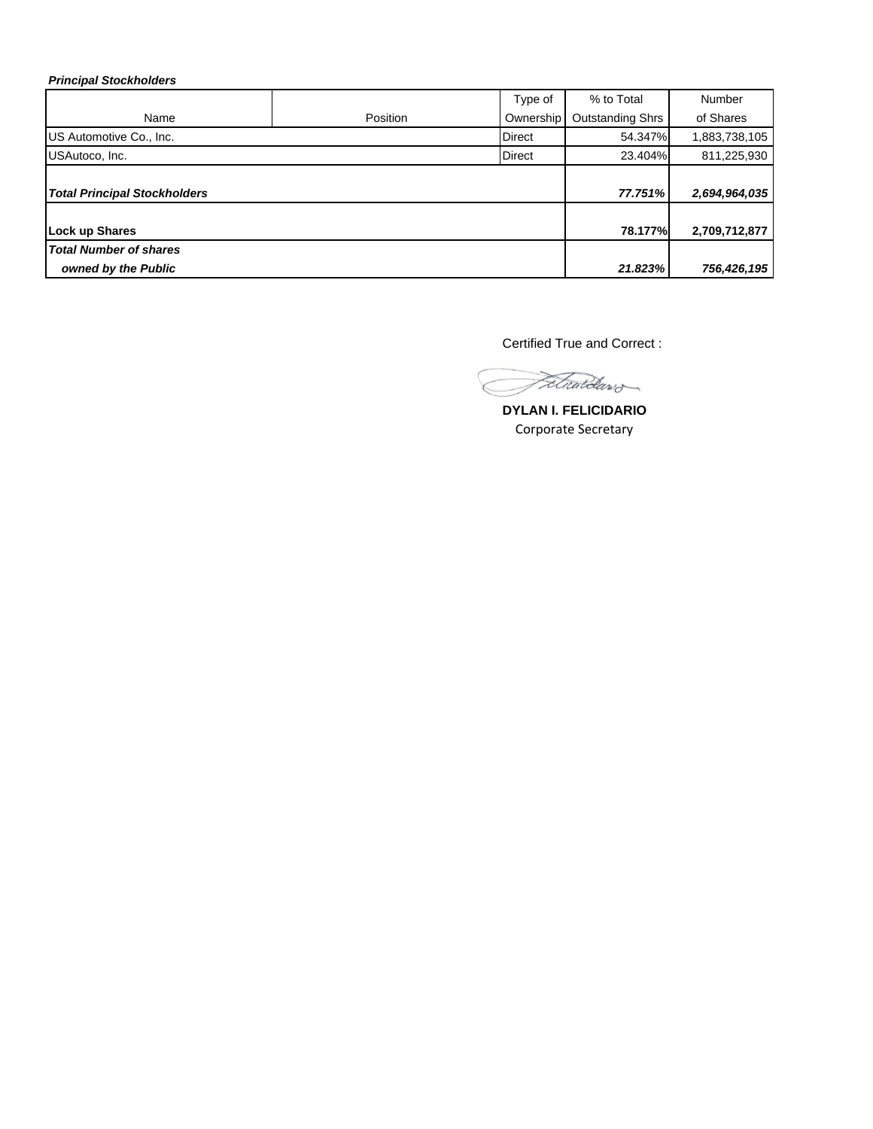## *Principal Stockholders*

|                                     |          | Type of       | % to Total              | <b>Number</b> |
|-------------------------------------|----------|---------------|-------------------------|---------------|
| Name                                | Position | Ownership     | <b>Outstanding Shrs</b> | of Shares     |
| US Automotive Co., Inc.             |          | <b>Direct</b> | 54.347%                 | 1,883,738,105 |
| USAutoco, Inc.                      |          | <b>Direct</b> | 23.404%                 | 811,225,930   |
| <b>Total Principal Stockholders</b> |          |               | 77.751%                 | 2,694,964,035 |
|                                     |          |               |                         |               |
| Lock up Shares                      |          |               | 78.177%                 | 2,709,712,877 |
| <b>Total Number of shares</b>       |          |               |                         |               |
| owned by the Public                 |          |               | 21.823%                 | 756,426,195   |

Certified True and Correct :

Fetwardawd

**DYLAN I. FELICIDARIO** Corporate Secretary